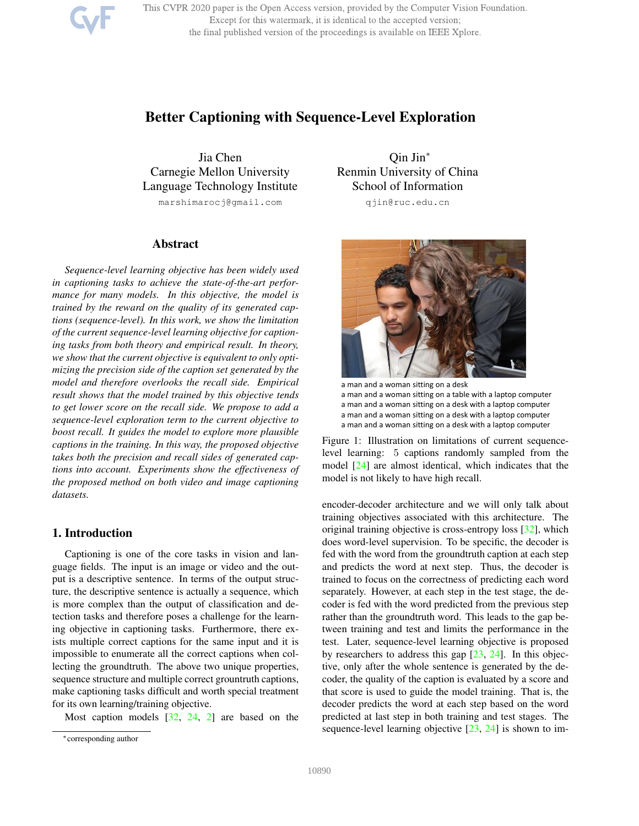This CVPR 2020 paper is the Open Access version, provided by the Computer Vision Foundation. Except for this watermark, it is identical to the accepted version; the final published version of the proceedings is available on IEEE Xplore.

# Better Captioning with Sequence-Level Exploration

Jia Chen Carnegie Mellon University Language Technology Institute marshimarocj@gmail.com

# Abstract

*Sequence-level learning objective has been widely used in captioning tasks to achieve the state-of-the-art performance for many models. In this objective, the model is trained by the reward on the quality of its generated captions (sequence-level). In this work, we show the limitation of the current sequence-level learning objective for captioning tasks from both theory and empirical result. In theory, we show that the current objective is equivalent to only optimizing the precision side of the caption set generated by the model and therefore overlooks the recall side. Empirical result shows that the model trained by this objective tends to get lower score on the recall side. We propose to add a sequence-level exploration term to the current objective to boost recall. It guides the model to explore more plausible captions in the training. In this way, the proposed objective takes both the precision and recall sides of generated captions into account. Experiments show the effectiveness of the proposed method on both video and image captioning datasets.*

# 1. Introduction

Captioning is one of the core tasks in vision and language fields. The input is an image or video and the output is a descriptive sentence. In terms of the output structure, the descriptive sentence is actually a sequence, which is more complex than the output of classification and detection tasks and therefore poses a challenge for the learning objective in captioning tasks. Furthermore, there exists multiple correct captions for the same input and it is impossible to enumerate all the correct captions when collecting the groundtruth. The above two unique properties, sequence structure and multiple correct grountruth captions, make captioning tasks difficult and worth special treatment for its own learning/training objective.

Most caption models [32, 24, 2] are based on the

Qin Jin<sup>∗</sup> Renmin University of China School of Information qjin@ruc.edu.cn



a man and a woman sitting on a desk a man and a woman sitting on a table with a laptop computer a man and a woman sitting on a desk with a laptop computer a man and a woman sitting on a desk with a laptop computer a man and a woman sitting on a desk with a laptop computer

Figure 1: Illustration on limitations of current sequencelevel learning: 5 captions randomly sampled from the model [24] are almost identical, which indicates that the model is not likely to have high recall.

encoder-decoder architecture and we will only talk about training objectives associated with this architecture. The original training objective is cross-entropy loss [32], which does word-level supervision. To be specific, the decoder is fed with the word from the groundtruth caption at each step and predicts the word at next step. Thus, the decoder is trained to focus on the correctness of predicting each word separately. However, at each step in the test stage, the decoder is fed with the word predicted from the previous step rather than the groundtruth word. This leads to the gap between training and test and limits the performance in the test. Later, sequence-level learning objective is proposed by researchers to address this gap [23, 24]. In this objective, only after the whole sentence is generated by the decoder, the quality of the caption is evaluated by a score and that score is used to guide the model training. That is, the decoder predicts the word at each step based on the word predicted at last step in both training and test stages. The sequence-level learning objective [23, 24] is shown to im-

<sup>∗</sup>corresponding author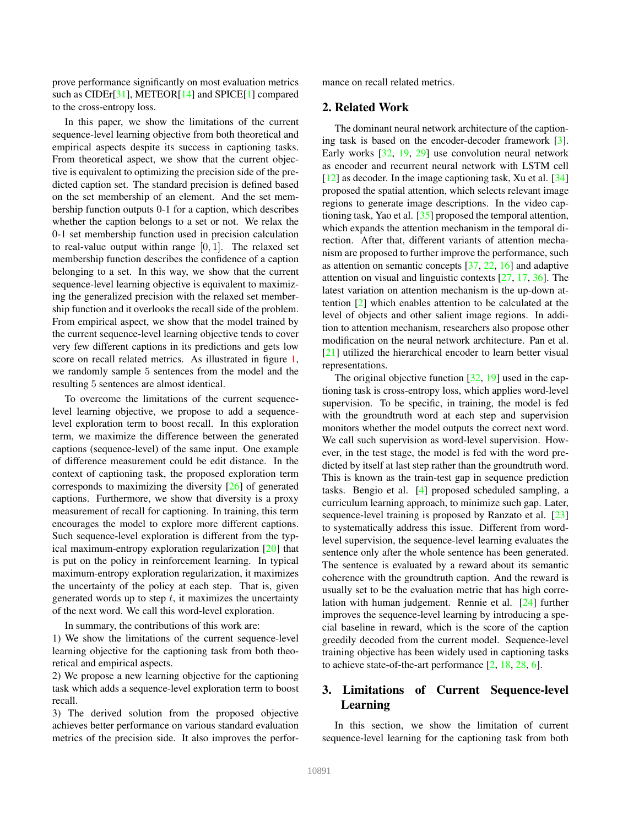prove performance significantly on most evaluation metrics such as CIDEr<sup>[31]</sup>, METEOR<sup>[14]</sup> and SPICE<sup>[1]</sup> compared to the cross-entropy loss.

In this paper, we show the limitations of the current sequence-level learning objective from both theoretical and empirical aspects despite its success in captioning tasks. From theoretical aspect, we show that the current objective is equivalent to optimizing the precision side of the predicted caption set. The standard precision is defined based on the set membership of an element. And the set membership function outputs 0-1 for a caption, which describes whether the caption belongs to a set or not. We relax the 0-1 set membership function used in precision calculation to real-value output within range  $[0, 1]$ . The relaxed set membership function describes the confidence of a caption belonging to a set. In this way, we show that the current sequence-level learning objective is equivalent to maximizing the generalized precision with the relaxed set membership function and it overlooks the recall side of the problem. From empirical aspect, we show that the model trained by the current sequence-level learning objective tends to cover very few different captions in its predictions and gets low score on recall related metrics. As illustrated in figure 1, we randomly sample 5 sentences from the model and the resulting 5 sentences are almost identical.

To overcome the limitations of the current sequencelevel learning objective, we propose to add a sequencelevel exploration term to boost recall. In this exploration term, we maximize the difference between the generated captions (sequence-level) of the same input. One example of difference measurement could be edit distance. In the context of captioning task, the proposed exploration term corresponds to maximizing the diversity [26] of generated captions. Furthermore, we show that diversity is a proxy measurement of recall for captioning. In training, this term encourages the model to explore more different captions. Such sequence-level exploration is different from the typical maximum-entropy exploration regularization [20] that is put on the policy in reinforcement learning. In typical maximum-entropy exploration regularization, it maximizes the uncertainty of the policy at each step. That is, given generated words up to step  $t$ , it maximizes the uncertainty of the next word. We call this word-level exploration.

In summary, the contributions of this work are:

1) We show the limitations of the current sequence-level learning objective for the captioning task from both theoretical and empirical aspects.

2) We propose a new learning objective for the captioning task which adds a sequence-level exploration term to boost recall.

3) The derived solution from the proposed objective achieves better performance on various standard evaluation metrics of the precision side. It also improves the performance on recall related metrics.

# 2. Related Work

The dominant neural network architecture of the captioning task is based on the encoder-decoder framework [3]. Early works [32, 19, 29] use convolution neural network as encoder and recurrent neural network with LSTM cell [12] as decoder. In the image captioning task, Xu et al. [34] proposed the spatial attention, which selects relevant image regions to generate image descriptions. In the video captioning task, Yao et al. [35] proposed the temporal attention, which expands the attention mechanism in the temporal direction. After that, different variants of attention mechanism are proposed to further improve the performance, such as attention on semantic concepts [37, 22, 16] and adaptive attention on visual and linguistic contexts [27, 17, 36]. The latest variation on attention mechanism is the up-down attention [2] which enables attention to be calculated at the level of objects and other salient image regions. In addition to attention mechanism, researchers also propose other modification on the neural network architecture. Pan et al. [21] utilized the hierarchical encoder to learn better visual representations.

The original objective function [32, 19] used in the captioning task is cross-entropy loss, which applies word-level supervision. To be specific, in training, the model is fed with the groundtruth word at each step and supervision monitors whether the model outputs the correct next word. We call such supervision as word-level supervision. However, in the test stage, the model is fed with the word predicted by itself at last step rather than the groundtruth word. This is known as the train-test gap in sequence prediction tasks. Bengio et al. [4] proposed scheduled sampling, a curriculum learning approach, to minimize such gap. Later, sequence-level training is proposed by Ranzato et al. [23] to systematically address this issue. Different from wordlevel supervision, the sequence-level learning evaluates the sentence only after the whole sentence has been generated. The sentence is evaluated by a reward about its semantic coherence with the groundtruth caption. And the reward is usually set to be the evaluation metric that has high correlation with human judgement. Rennie et al. [24] further improves the sequence-level learning by introducing a special baseline in reward, which is the score of the caption greedily decoded from the current model. Sequence-level training objective has been widely used in captioning tasks to achieve state-of-the-art performance [2, 18, 28, 6].

# 3. Limitations of Current Sequence-level Learning

In this section, we show the limitation of current sequence-level learning for the captioning task from both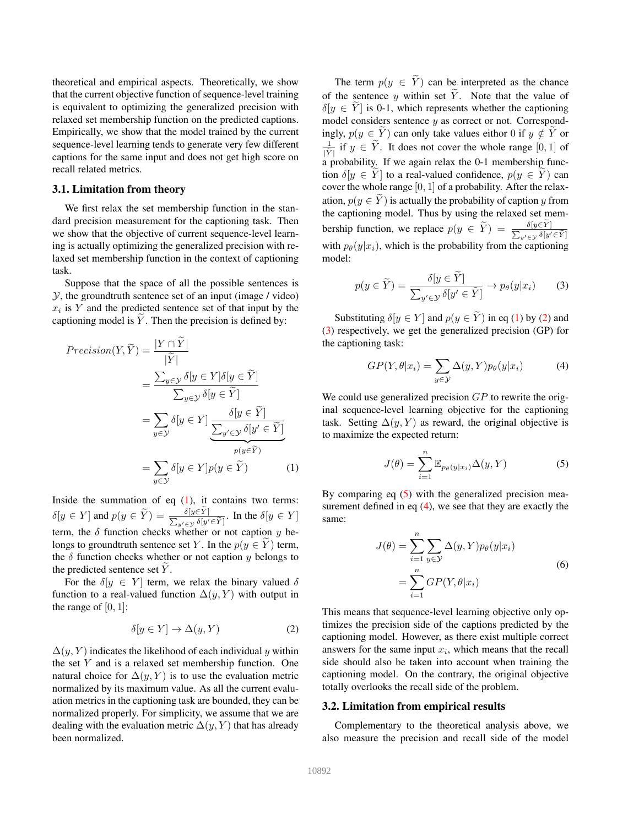theoretical and empirical aspects. Theoretically, we show that the current objective function of sequence-level training is equivalent to optimizing the generalized precision with relaxed set membership function on the predicted captions. Empirically, we show that the model trained by the current sequence-level learning tends to generate very few different captions for the same input and does not get high score on recall related metrics.

### 3.1. Limitation from theory

We first relax the set membership function in the standard precision measurement for the captioning task. Then we show that the objective of current sequence-level learning is actually optimizing the generalized precision with relaxed set membership function in the context of captioning task.

Suppose that the space of all the possible sentences is  $Y$ , the groundtruth sentence set of an input (image / video)  $x_i$  is Y and the predicted sentence set of that input by the captioning model is  $\tilde{Y}$ . Then the precision is defined by:

$$
Precision(Y, \widetilde{Y}) = \frac{|Y \cap Y|}{|\widetilde{Y}|}
$$
  
= 
$$
\frac{\sum_{y \in \mathcal{Y}} \delta[y \in Y] \delta[y \in \widetilde{Y}]}{\sum_{y \in \mathcal{Y}} \delta[y \in \widetilde{Y}]}
$$
  
= 
$$
\sum_{y \in \mathcal{Y}} \delta[y \in Y] \underbrace{\frac{\delta[y \in \widetilde{Y}]}{\sum_{y' \in \mathcal{Y}} \delta[y' \in \widetilde{Y}]}_{p(y \in \widetilde{Y})}}
$$
  
= 
$$
\sum_{y \in \mathcal{Y}} \delta[y \in Y] p(y \in \widetilde{Y})
$$
(1)

Inside the summation of eq  $(1)$ , it contains two terms:  $\delta[y \in Y]$  and  $p(y \in \widetilde{Y}) = \frac{\delta[y \in Y]}{\sum_{y' \in Y} \delta[y' \in \widetilde{Y}]}$ . In the  $\delta[y \in Y]$ term, the  $\delta$  function checks whether or not caption y belongs to groundtruth sentence set Y. In the  $p(y \in Y)$  term, the  $\delta$  function checks whether or not caption y belongs to the predicted sentence set  $Y$ .

For the  $\delta[y \in Y]$  term, we relax the binary valued  $\delta$ function to a real-valued function  $\Delta(y, Y)$  with output in the range of  $[0, 1]$ :

$$
\delta[y \in Y] \to \Delta(y, Y) \tag{2}
$$

 $\Delta(y, Y)$  indicates the likelihood of each individual y within the set Y and is a relaxed set membership function. One natural choice for  $\Delta(y, Y)$  is to use the evaluation metric normalized by its maximum value. As all the current evaluation metrics in the captioning task are bounded, they can be normalized properly. For simplicity, we assume that we are dealing with the evaluation metric  $\Delta(y, Y)$  that has already been normalized.

The term  $p(y \in \widetilde{Y})$  can be interpreted as the chance of the sentence y within set  $\widetilde{Y}$ . Note that the value of  $\delta[y \in Y]$  is 0-1, which represents whether the captioning model considers sentence  $y$  as correct or not. Correspondingly,  $p(y \in Y)$  can only take values eithor 0 if  $y \notin Y$  or 1  $\frac{1}{|\tilde{Y}|}$  if  $y \in Y$ . It does not cover the whole range  $[0, 1]$  of a probability. If we again relax the 0-1 membership function  $\delta[y \in Y]$  to a real-valued confidence,  $p(y \in Y)$  can cover the whole range  $[0, 1]$  of a probability. After the relaxation,  $p(y \in Y)$  is actually the probability of caption y from the captioning model. Thus by using the relaxed set membership function, we replace  $p(y \in \widetilde{Y}) = \frac{\delta[y \in Y]}{\sum_{y' \in \mathcal{Y}} \delta[y' \in \widetilde{Y}]}$ with  $p_{\theta}(y|x_i)$ , which is the probability from the captioning model:

$$
p(y \in \widetilde{Y}) = \frac{\delta[y \in \widetilde{Y}]}{\sum_{y' \in \mathcal{Y}} \delta[y' \in \widetilde{Y}]} \to p_{\theta}(y|x_i)
$$
(3)

Substituting  $\delta[y \in Y]$  and  $p(y \in \widetilde{Y})$  in eq (1) by (2) and (3) respectively, we get the generalized precision (GP) for the captioning task:

$$
GP(Y, \theta | x_i) = \sum_{y \in \mathcal{Y}} \Delta(y, Y) p_{\theta}(y | x_i)
$$
 (4)

We could use generalized precision  $GP$  to rewrite the original sequence-level learning objective for the captioning task. Setting  $\Delta(y, Y)$  as reward, the original objective is to maximize the expected return:

$$
J(\theta) = \sum_{i=1}^{n} \mathbb{E}_{p_{\theta}(y|x_i)} \Delta(y, Y)
$$
 (5)

By comparing eq (5) with the generalized precision measurement defined in eq  $(4)$ , we see that they are exactly the same:

$$
J(\theta) = \sum_{i=1}^{n} \sum_{y \in \mathcal{Y}} \Delta(y, Y) p_{\theta}(y|x_i)
$$

$$
= \sum_{i=1}^{n} GP(Y, \theta|x_i)
$$
(6)

This means that sequence-level learning objective only optimizes the precision side of the captions predicted by the captioning model. However, as there exist multiple correct answers for the same input  $x_i$ , which means that the recall side should also be taken into account when training the captioning model. On the contrary, the original objective totally overlooks the recall side of the problem.

#### 3.2. Limitation from empirical results

Complementary to the theoretical analysis above, we also measure the precision and recall side of the model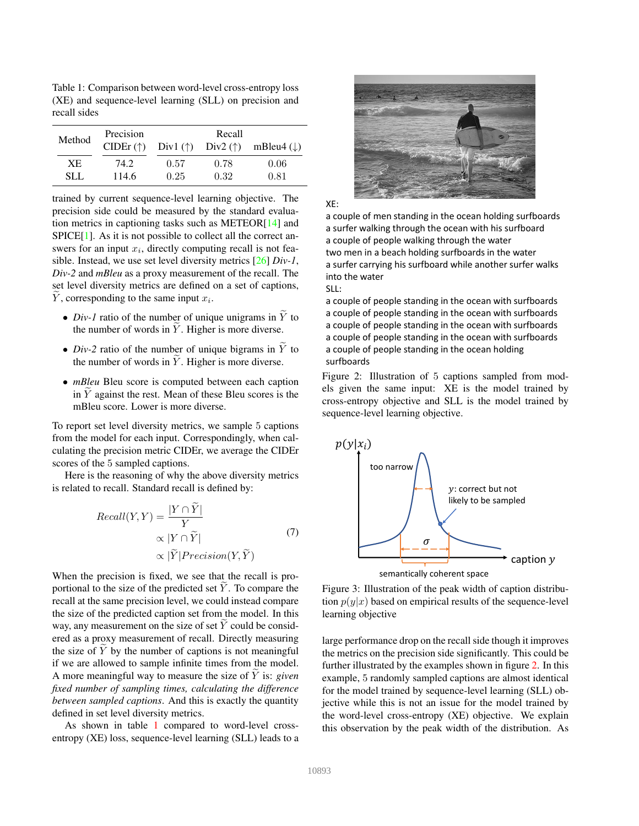Table 1: Comparison between word-level cross-entropy loss (XE) and sequence-level learning (SLL) on precision and recall sides

| Method    | Precision<br>$CIDEr(\uparrow)$ |      | Recall<br>Div1 $(\uparrow)$ Div2 $(\uparrow)$ | mBleu4 $(\downarrow)$ |
|-----------|--------------------------------|------|-----------------------------------------------|-----------------------|
| <b>XE</b> | 74.2                           | 0.57 | 0.78                                          | 0.06                  |
| SLL.      | 114.6                          | 0.25 | 0.32                                          | 0.81                  |

trained by current sequence-level learning objective. The precision side could be measured by the standard evaluation metrics in captioning tasks such as METEOR[14] and SPICE[1]. As it is not possible to collect all the correct answers for an input  $x_i$ , directly computing recall is not feasible. Instead, we use set level diversity metrics [26] *Div-1*, *Div-2* and *mBleu* as a proxy measurement of the recall. The set level diversity metrics are defined on a set of captions,  $Y$ , corresponding to the same input  $x_i$ .

- *Div-1* ratio of the number of unique unigrams in  $\widetilde{Y}$  to the number of words in  $\overline{Y}$ . Higher is more diverse.
- *Div-2* ratio of the number of unique bigrams in  $\overline{Y}$  to the number of words in  $\overline{Y}$ . Higher is more diverse.
- *mBleu* Bleu score is computed between each caption in  $Y$  against the rest. Mean of these Bleu scores is the mBleu score. Lower is more diverse.

To report set level diversity metrics, we sample 5 captions from the model for each input. Correspondingly, when calculating the precision metric CIDEr, we average the CIDEr scores of the 5 sampled captions.

Here is the reasoning of why the above diversity metrics is related to recall. Standard recall is defined by:

$$
Recall(Y, Y) = \frac{|Y \cap \tilde{Y}|}{Y}
$$
  
 
$$
\propto |Y \cap \tilde{Y}|
$$
  
 
$$
\propto |\tilde{Y}| Precision(Y, \tilde{Y})
$$
 (7)

When the precision is fixed, we see that the recall is proportional to the size of the predicted set  $Y$ . To compare the recall at the same precision level, we could instead compare the size of the predicted caption set from the model. In this way, any measurement on the size of set  $Y$  could be considered as a proxy measurement of recall. Directly measuring the size of  $Y$  by the number of captions is not meaningful if we are allowed to sample infinite times from the model. A more meaningful way to measure the size of Y is: *given fixed number of sampling times, calculating the difference between sampled captions*. And this is exactly the quantity defined in set level diversity metrics.

As shown in table 1 compared to word-level crossentropy (XE) loss, sequence-level learning (SLL) leads to a



XE:

a couple of men standing in the ocean holding surfboards a surfer walking through the ocean with his surfboard a couple of people walking through the water two men in a beach holding surfboards in the water a surfer carrying his surfboard while another surfer walks into the water SLL:

a couple of people standing in the ocean with surfboards a couple of people standing in the ocean with surfboards a couple of people standing in the ocean with surfboards a couple of people standing in the ocean with surfboards a couple of people standing in the ocean holding surfboards

Figure 2: Illustration of 5 captions sampled from models given the same input: XE is the model trained by cross-entropy objective and SLL is the model trained by sequence-level learning objective.



Figure 3: Illustration of the peak width of caption distribution  $p(y|x)$  based on empirical results of the sequence-level learning objective

large performance drop on the recall side though it improves the metrics on the precision side significantly. This could be further illustrated by the examples shown in figure 2. In this example, 5 randomly sampled captions are almost identical for the model trained by sequence-level learning (SLL) objective while this is not an issue for the model trained by the word-level cross-entropy (XE) objective. We explain this observation by the peak width of the distribution. As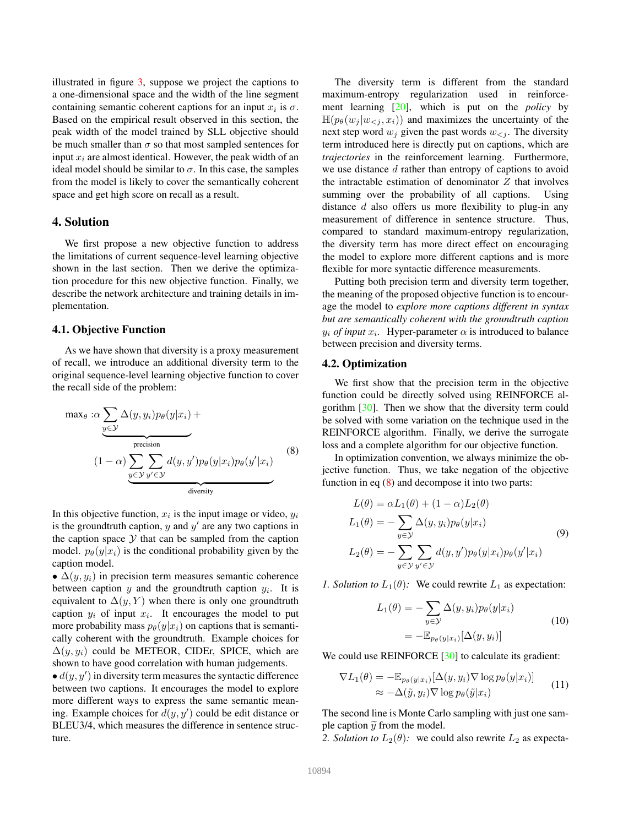illustrated in figure 3, suppose we project the captions to a one-dimensional space and the width of the line segment containing semantic coherent captions for an input  $x_i$  is  $\sigma$ . Based on the empirical result observed in this section, the peak width of the model trained by SLL objective should be much smaller than  $\sigma$  so that most sampled sentences for input  $x_i$  are almost identical. However, the peak width of an ideal model should be similar to  $\sigma$ . In this case, the samples from the model is likely to cover the semantically coherent space and get high score on recall as a result.

### 4. Solution

We first propose a new objective function to address the limitations of current sequence-level learning objective shown in the last section. Then we derive the optimization procedure for this new objective function. Finally, we describe the network architecture and training details in implementation.

#### 4.1. Objective Function

As we have shown that diversity is a proxy measurement of recall, we introduce an additional diversity term to the original sequence-level learning objective function to cover the recall side of the problem:

$$
\max_{\theta} : \alpha \sum_{y \in \mathcal{Y}} \Delta(y, y_i) p_{\theta}(y | x_i) +
$$
\n
$$
(1 - \alpha) \sum_{y \in \mathcal{Y}} \sum_{y' \in \mathcal{Y}} d(y, y') p_{\theta}(y | x_i) p_{\theta}(y'| x_i)
$$
\n
$$
\underbrace{(8)}_{\text{diversity}}
$$

In this objective function,  $x_i$  is the input image or video,  $y_i$ is the groundtruth caption,  $y$  and  $y'$  are any two captions in the caption space  $Y$  that can be sampled from the caption model.  $p_{\theta}(y|x_i)$  is the conditional probability given by the caption model.

•  $\Delta(y, y_i)$  in precision term measures semantic coherence between caption  $y$  and the groundtruth caption  $y_i$ . It is equivalent to  $\Delta(y, Y)$  when there is only one groundtruth caption  $y_i$  of input  $x_i$ . It encourages the model to put more probability mass  $p_{\theta}(y|x_i)$  on captions that is semantically coherent with the groundtruth. Example choices for  $\Delta(y, y_i)$  could be METEOR, CIDEr, SPICE, which are shown to have good correlation with human judgements.

 $\bullet d(y, y')$  in diversity term measures the syntactic difference between two captions. It encourages the model to explore more different ways to express the same semantic meaning. Example choices for  $d(y, y')$  could be edit distance or BLEU3/4, which measures the difference in sentence structure.

The diversity term is different from the standard maximum-entropy regularization used in reinforcement learning [20], which is put on the *policy* by  $\mathbb{H}(p_{\theta}(w_i | w_{\leq i}, x_i))$  and maximizes the uncertainty of the next step word  $w_j$  given the past words  $w_{\leq j}$ . The diversity term introduced here is directly put on captions, which are *trajectories* in the reinforcement learning. Furthermore, we use distance d rather than entropy of captions to avoid the intractable estimation of denominator  $Z$  that involves summing over the probability of all captions. Using distance  $d$  also offers us more flexibility to plug-in any measurement of difference in sentence structure. Thus, compared to standard maximum-entropy regularization, the diversity term has more direct effect on encouraging the model to explore more different captions and is more flexible for more syntactic difference measurements.

Putting both precision term and diversity term together, the meaning of the proposed objective function is to encourage the model to *explore more captions different in syntax but are semantically coherent with the groundtruth caption*  $y_i$  *of input*  $x_i$ . Hyper-parameter  $\alpha$  is introduced to balance between precision and diversity terms.

### 4.2. Optimization

We first show that the precision term in the objective function could be directly solved using REINFORCE algorithm [30]. Then we show that the diversity term could be solved with some variation on the technique used in the REINFORCE algorithm. Finally, we derive the surrogate loss and a complete algorithm for our objective function.

In optimization convention, we always minimize the objective function. Thus, we take negation of the objective function in eq (8) and decompose it into two parts:

$$
L(\theta) = \alpha L_1(\theta) + (1 - \alpha) L_2(\theta)
$$
  
\n
$$
L_1(\theta) = -\sum_{y \in \mathcal{Y}} \Delta(y, y_i) p_{\theta}(y | x_i)
$$
  
\n
$$
L_2(\theta) = -\sum_{y \in \mathcal{Y}} \sum_{y' \in \mathcal{Y}} d(y, y') p_{\theta}(y | x_i) p_{\theta}(y' | x_i)
$$
\n(9)

*1. Solution to*  $L_1(\theta)$ : We could rewrite  $L_1$  as expectation:

$$
L_1(\theta) = -\sum_{y \in \mathcal{Y}} \Delta(y, y_i) p_{\theta}(y | x_i)
$$
  
= 
$$
-\mathbb{E}_{p_{\theta}(y | x_i)}[\Delta(y, y_i)]
$$
 (10)

We could use REINFORCE [30] to calculate its gradient:

$$
\nabla L_1(\theta) = -\mathbb{E}_{p_{\theta}(y|x_i)}[\Delta(y, y_i) \nabla \log p_{\theta}(y|x_i)]
$$
  
 
$$
\approx -\Delta(\tilde{y}, y_i) \nabla \log p_{\theta}(\tilde{y}|x_i)
$$
 (11)

The second line is Monte Carlo sampling with just one sample caption  $\widetilde{y}$  from the model.

*2. Solution to*  $L_2(\theta)$ : we could also rewrite  $L_2$  as expecta-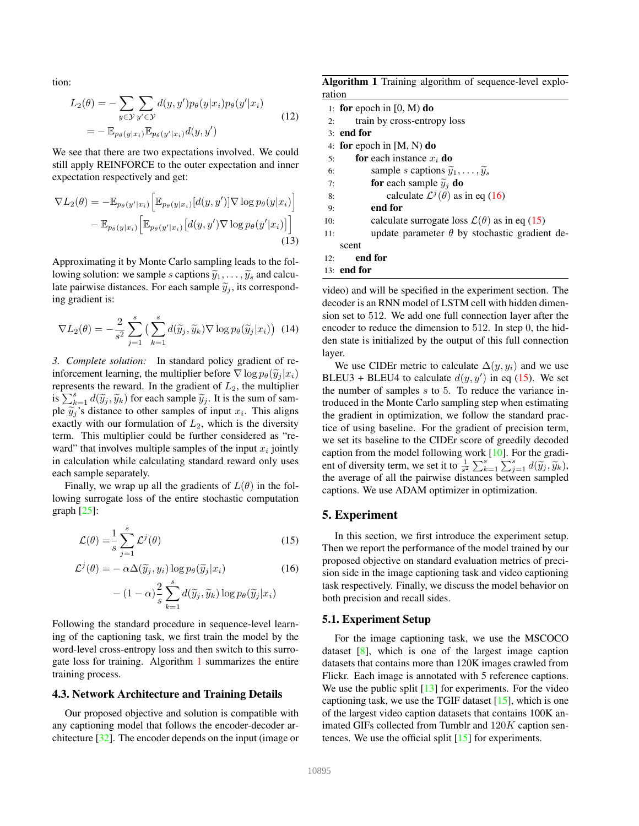tion:

$$
L_2(\theta) = -\sum_{y \in \mathcal{Y}} \sum_{y' \in \mathcal{Y}} d(y, y') p_{\theta}(y|x_i) p_{\theta}(y'|x_i)
$$
  
= 
$$
-\mathbb{E}_{p_{\theta}(y|x_i)} \mathbb{E}_{p_{\theta}(y'|x_i)} d(y, y')
$$
 (12)

We see that there are two expectations involved. We could still apply REINFORCE to the outer expectation and inner expectation respectively and get:

$$
\nabla L_2(\theta) = -\mathbb{E}_{p_{\theta}(y'|x_i)} \Big[ \mathbb{E}_{p_{\theta}(y|x_i)}[d(y, y')] \nabla \log p_{\theta}(y|x_i) \Big] - \mathbb{E}_{p_{\theta}(y|x_i)} \Big[ \mathbb{E}_{p_{\theta}(y'|x_i)}[d(y, y') \nabla \log p_{\theta}(y'|x_i)] \Big]
$$
\n(13)

Approximating it by Monte Carlo sampling leads to the following solution: we sample s captions  $\tilde{y}_1, \ldots, \tilde{y}_s$  and calculate pairwise distances. For each sample  $\tilde{y}_j$ , its corresponding gradient is:

$$
\nabla L_2(\theta) = -\frac{2}{s^2} \sum_{j=1}^s \left( \sum_{k=1}^s d(\widetilde{y}_j, \widetilde{y}_k) \nabla \log p_\theta(\widetilde{y}_j | x_i) \right) (14)
$$

*3. Complete solution:* In standard policy gradient of reinforcement learning, the multiplier before  $\nabla \log p_{\theta}(\widetilde{y}_i | x_i)$ represents the reward. In the gradient of  $L_2$ , the multiplier is  $\sum_{k=1}^{s} d(\widetilde{y}_j, \widetilde{y}_k)$  for each sample  $\widetilde{y}_j$ . It is the sum of sample  $\widetilde{y}_j$ 's distance to other samples of input  $x_i$ . This aligns exactly with our formulation of  $L_2$ , which is the diversity term. This multiplier could be further considered as "reward" that involves multiple samples of the input  $x_i$  jointly in calculation while calculating standard reward only uses each sample separately.

Finally, we wrap up all the gradients of  $L(\theta)$  in the following surrogate loss of the entire stochastic computation graph  $[25]$ :

$$
\mathcal{L}(\theta) = \frac{1}{s} \sum_{j=1}^{s} \mathcal{L}^j(\theta)
$$
\n(15)

$$
\mathcal{L}^{j}(\theta) = -\alpha \Delta(\widetilde{y}_{j}, y_{i}) \log p_{\theta}(\widetilde{y}_{j}|x_{i})
$$
\n
$$
-(1 - \alpha) \frac{2}{s} \sum_{k=1}^{s} d(\widetilde{y}_{j}, \widetilde{y}_{k}) \log p_{\theta}(\widetilde{y}_{j}|x_{i})
$$
\n(16)

Following the standard procedure in sequence-level learning of the captioning task, we first train the model by the word-level cross-entropy loss and then switch to this surrogate loss for training. Algorithm 1 summarizes the entire training process.

### 4.3. Network Architecture and Training Details

Our proposed objective and solution is compatible with any captioning model that follows the encoder-decoder architecture [32]. The encoder depends on the input (image or

Algorithm 1 Training algorithm of sequence-level exploration

|     | 1: for epoch in $[0, M)$ do                                  |
|-----|--------------------------------------------------------------|
| 2:  | train by cross-entropy loss                                  |
|     | $3:$ end for                                                 |
|     | 4: for epoch in $[M, N)$ do                                  |
| 5:  | for each instance $x_i$ do                                   |
| 6:  | sample s captions $\widetilde{y}_1, \ldots, \widetilde{y}_s$ |
| 7:  | <b>for</b> each sample $\widetilde{y}_i$ <b>do</b>           |
| 8:  | calculate $\mathcal{L}^{j}(\theta)$ as in eq (16)            |
| 9:  | end for                                                      |
| 10: | calculate surrogate loss $\mathcal{L}(\theta)$ as in eq (15) |
| 11: | update parameter $\theta$ by stochastic gradient de-         |
|     | scent                                                        |
| 12: | end for                                                      |
|     | 13: end for                                                  |

video) and will be specified in the experiment section. The decoder is an RNN model of LSTM cell with hidden dimension set to 512. We add one full connection layer after the encoder to reduce the dimension to 512. In step 0, the hidden state is initialized by the output of this full connection layer.

We use CIDEr metric to calculate  $\Delta(y, y_i)$  and we use BLEU3 + BLEU4 to calculate  $d(y, y')$  in eq (15). We set the number of samples  $s$  to  $5$ . To reduce the variance introduced in the Monte Carlo sampling step when estimating the gradient in optimization, we follow the standard practice of using baseline. For the gradient of precision term, we set its baseline to the CIDEr score of greedily decoded caption from the model following work [10]. For the gradient of diversity term, we set it to  $\frac{1}{s^2} \sum_{k=1}^s \sum_{j=1}^s d(\widetilde{y}_j, \widetilde{y}_k)$ , the average of all the pairwise distances between sampled captions. We use ADAM optimizer in optimization.

## 5. Experiment

In this section, we first introduce the experiment setup. Then we report the performance of the model trained by our proposed objective on standard evaluation metrics of precision side in the image captioning task and video captioning task respectively. Finally, we discuss the model behavior on both precision and recall sides.

#### 5.1. Experiment Setup

For the image captioning task, we use the MSCOCO dataset [8], which is one of the largest image caption datasets that contains more than 120K images crawled from Flickr. Each image is annotated with 5 reference captions. We use the public split  $[13]$  for experiments. For the video captioning task, we use the TGIF dataset [15], which is one of the largest video caption datasets that contains 100K animated GIFs collected from Tumblr and 120K caption sentences. We use the official split [15] for experiments.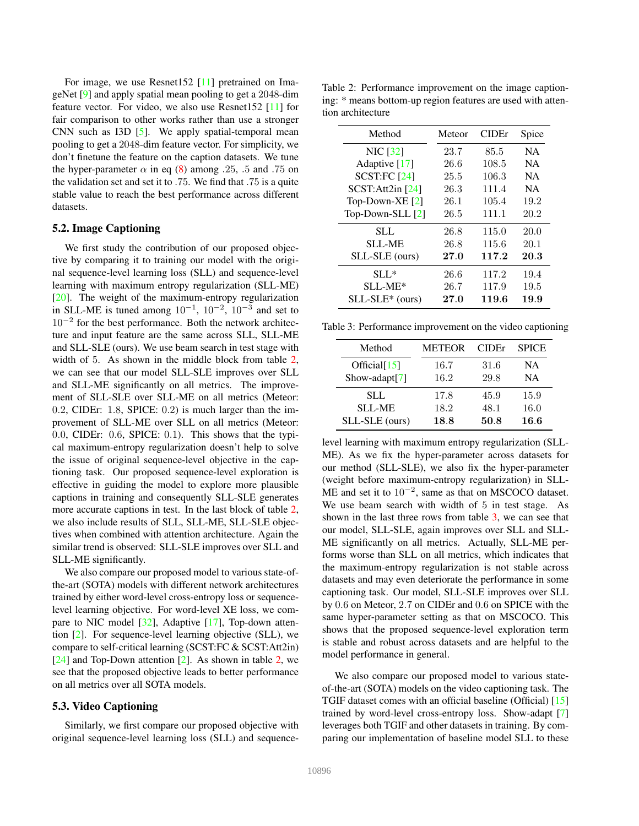For image, we use Resnet152 [11] pretrained on ImageNet [9] and apply spatial mean pooling to get a 2048-dim feature vector. For video, we also use Resnet152 [11] for fair comparison to other works rather than use a stronger CNN such as I3D [5]. We apply spatial-temporal mean pooling to get a 2048-dim feature vector. For simplicity, we don't finetune the feature on the caption datasets. We tune the hyper-parameter  $\alpha$  in eq (8) among .25, .5 and .75 on the validation set and set it to .75. We find that .75 is a quite stable value to reach the best performance across different datasets.

# 5.2. Image Captioning

We first study the contribution of our proposed objective by comparing it to training our model with the original sequence-level learning loss (SLL) and sequence-level learning with maximum entropy regularization (SLL-ME) [20]. The weight of the maximum-entropy regularization in SLL-ME is tuned among  $10^{-1}$ ,  $10^{-2}$ ,  $10^{-3}$  and set to 10<sup>-2</sup> for the best performance. Both the network architecture and input feature are the same across SLL, SLL-ME and SLL-SLE (ours). We use beam search in test stage with width of 5. As shown in the middle block from table 2, we can see that our model SLL-SLE improves over SLL and SLL-ME significantly on all metrics. The improvement of SLL-SLE over SLL-ME on all metrics (Meteor: 0.2, CIDEr: 1.8, SPICE: 0.2) is much larger than the improvement of SLL-ME over SLL on all metrics (Meteor: 0.0, CIDEr: 0.6, SPICE: 0.1). This shows that the typical maximum-entropy regularization doesn't help to solve the issue of original sequence-level objective in the captioning task. Our proposed sequence-level exploration is effective in guiding the model to explore more plausible captions in training and consequently SLL-SLE generates more accurate captions in test. In the last block of table 2, we also include results of SLL, SLL-ME, SLL-SLE objectives when combined with attention architecture. Again the similar trend is observed: SLL-SLE improves over SLL and SLL-ME significantly.

We also compare our proposed model to various state-ofthe-art (SOTA) models with different network architectures trained by either word-level cross-entropy loss or sequencelevel learning objective. For word-level XE loss, we compare to NIC model [32], Adaptive [17], Top-down attention [2]. For sequence-level learning objective (SLL), we compare to self-critical learning (SCST:FC & SCST:Att2in)  $[24]$  and Top-Down attention  $[2]$ . As shown in table 2, we see that the proposed objective leads to better performance on all metrics over all SOTA models.

#### 5.3. Video Captioning

Similarly, we first compare our proposed objective with original sequence-level learning loss (SLL) and sequence-

Table 2: Performance improvement on the image captioning: \* means bottom-up region features are used with attention architecture

| Method            | Meteor | <b>CIDE</b> r | Spice     |
|-------------------|--------|---------------|-----------|
| <b>NIC</b> [32]   | 23.7   | 85.5          | <b>NA</b> |
| Adaptive [17]     | 26.6   | 108.5         | <b>NA</b> |
| SCST:FC [24]      | 25.5   | 106.3         | <b>NA</b> |
| SCST: Att2in [24] | 26.3   | 111.4         | <b>NA</b> |
| Top-Down-XE $[2]$ | 26.1   | 105.4         | 19.2      |
| Top-Down-SLL [2]  | 26.5   | 111.1         | 20.2      |
| <b>SLL</b>        | 26.8   | 115.0         | 20.0      |
| <b>SLL-ME</b>     | 26.8   | 115.6         | 20.1      |
| SLL-SLE (ours)    | 27.0   | 117.2         | 20.3      |
| $SLL^*$           | 26.6   | 117.2         | 19.4      |
| $SLL$ -ME*        | 26.7   | 117.9         | 19.5      |
| $SLL-SLE*$ (ours) | 27.0   | 119.6         | 19.9      |

Table 3: Performance improvement on the video captioning

| Method            | <b>METEOR</b> | <b>CIDE</b> <sup>r</sup> | <b>SPICE</b> |
|-------------------|---------------|--------------------------|--------------|
| Official $[15]$   | 16.7          | 31.6                     | <b>NA</b>    |
| Show-adapt[ $7$ ] | 16.2          | 29.8                     | <b>NA</b>    |
| SLL               | 17.8          | 45.9                     | 15.9         |
| <b>SLL-ME</b>     | 18.2          | 48.1                     | 16.0         |
| SLL-SLE (ours)    | 18.8          | 50.8                     | 16.6         |

level learning with maximum entropy regularization (SLL-ME). As we fix the hyper-parameter across datasets for our method (SLL-SLE), we also fix the hyper-parameter (weight before maximum-entropy regularization) in SLL-ME and set it to  $10^{-2}$ , same as that on MSCOCO dataset. We use beam search with width of 5 in test stage. As shown in the last three rows from table  $3$ , we can see that our model, SLL-SLE, again improves over SLL and SLL-ME significantly on all metrics. Actually, SLL-ME performs worse than SLL on all metrics, which indicates that the maximum-entropy regularization is not stable across datasets and may even deteriorate the performance in some captioning task. Our model, SLL-SLE improves over SLL by 0.6 on Meteor, 2.7 on CIDEr and 0.6 on SPICE with the same hyper-parameter setting as that on MSCOCO. This shows that the proposed sequence-level exploration term is stable and robust across datasets and are helpful to the model performance in general.

We also compare our proposed model to various stateof-the-art (SOTA) models on the video captioning task. The TGIF dataset comes with an official baseline (Official) [15] trained by word-level cross-entropy loss. Show-adapt [7] leverages both TGIF and other datasets in training. By comparing our implementation of baseline model SLL to these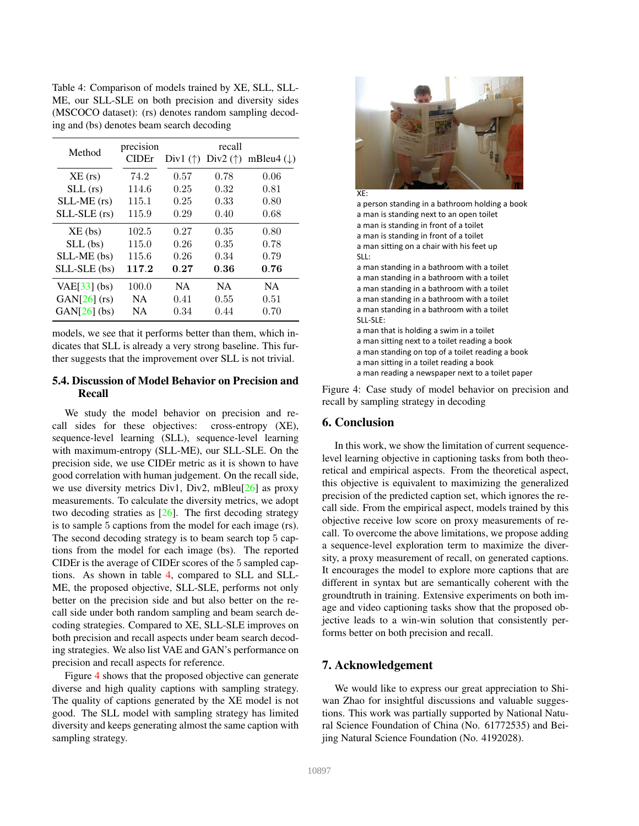| Method         | precision<br>CIDEr | recall<br>Div1 ( $\uparrow$ ) Div2 ( $\uparrow$ ) mBleu4 ( $\downarrow$ ) |           |           |
|----------------|--------------------|---------------------------------------------------------------------------|-----------|-----------|
|                |                    |                                                                           |           |           |
| $XE$ (rs)      | 74.2               | 0.57                                                                      | 0.78      | 0.06      |
| $SLL$ (rs)     | 114.6              | 0.25                                                                      | 0.32      | 0.81      |
| $SLL-ME$ (rs)  | 115.1              | 0.25                                                                      | 0.33      | 0.80      |
| $SLL-SLE$ (rs) | 115.9              | 0.29                                                                      | 0.40      | 0.68      |
| $XE$ (bs)      | 102.5              | 0.27                                                                      | 0.35      | 0.80      |
| $SLL$ (bs)     | 115.0              | 0.26                                                                      | 0.35      | 0.78      |
| SLL-ME (bs)    | 115.6              | 0.26                                                                      | 0.34      | 0.79      |
| $SLL-SLE$ (bs) | 117.2              | 0.27                                                                      | 0.36      | 0.76      |
| $VAE[33]$ (bs) | 100.0              | <b>NA</b>                                                                 | <b>NA</b> | <b>NA</b> |
| $GAN[26]$ (rs) | <b>NA</b>          | 0.41                                                                      | 0.55      | 0.51      |
| $GAN[26]$ (bs) | NA.                | 0.34                                                                      | 0.44      | 0.70      |

Table 4: Comparison of models trained by XE, SLL, SLL-ME, our SLL-SLE on both precision and diversity sides (MSCOCO dataset): (rs) denotes random sampling decod-

ing and (bs) denotes beam search decoding

models, we see that it performs better than them, which indicates that SLL is already a very strong baseline. This further suggests that the improvement over SLL is not trivial.

# 5.4. Discussion of Model Behavior on Precision and Recall

We study the model behavior on precision and recall sides for these objectives: cross-entropy (XE), sequence-level learning (SLL), sequence-level learning with maximum-entropy (SLL-ME), our SLL-SLE. On the precision side, we use CIDEr metric as it is shown to have good correlation with human judgement. On the recall side, we use diversity metrics Div1, Div2, mBleu<sup>[26]</sup> as proxy measurements. To calculate the diversity metrics, we adopt two decoding straties as [26]. The first decoding strategy is to sample 5 captions from the model for each image (rs). The second decoding strategy is to beam search top 5 captions from the model for each image (bs). The reported CIDEr is the average of CIDEr scores of the 5 sampled captions. As shown in table 4, compared to SLL and SLL-ME, the proposed objective, SLL-SLE, performs not only better on the precision side and but also better on the recall side under both random sampling and beam search decoding strategies. Compared to XE, SLL-SLE improves on both precision and recall aspects under beam search decoding strategies. We also list VAE and GAN's performance on precision and recall aspects for reference.

Figure 4 shows that the proposed objective can generate diverse and high quality captions with sampling strategy. The quality of captions generated by the XE model is not good. The SLL model with sampling strategy has limited diversity and keeps generating almost the same caption with sampling strategy.



a person standing in a bathroom holding a book a man is standing next to an open toilet a man is standing in front of a toilet a man is standing in front of a toilet a man sitting on a chair with his feet up  $SIL:$ a man standing in a bathroom with a toilet a man standing in a bathroom with a toilet a man standing in a bathroom with a toilet a man standing in a bathroom with a toilet a man standing in a bathroom with a toilet SLL-SLE: a man that is holding a swim in a toilet a man sitting next to a toilet reading a book a man standing on top of a toilet reading a book a man sitting in a toilet reading a book a man reading a newspaper next to a toilet paper

Figure 4: Case study of model behavior on precision and recall by sampling strategy in decoding

## 6. Conclusion

In this work, we show the limitation of current sequencelevel learning objective in captioning tasks from both theoretical and empirical aspects. From the theoretical aspect, this objective is equivalent to maximizing the generalized precision of the predicted caption set, which ignores the recall side. From the empirical aspect, models trained by this objective receive low score on proxy measurements of recall. To overcome the above limitations, we propose adding a sequence-level exploration term to maximize the diversity, a proxy measurement of recall, on generated captions. It encourages the model to explore more captions that are different in syntax but are semantically coherent with the groundtruth in training. Extensive experiments on both image and video captioning tasks show that the proposed objective leads to a win-win solution that consistently performs better on both precision and recall.

# 7. Acknowledgement

We would like to express our great appreciation to Shiwan Zhao for insightful discussions and valuable suggestions. This work was partially supported by National Natural Science Foundation of China (No. 61772535) and Beijing Natural Science Foundation (No. 4192028).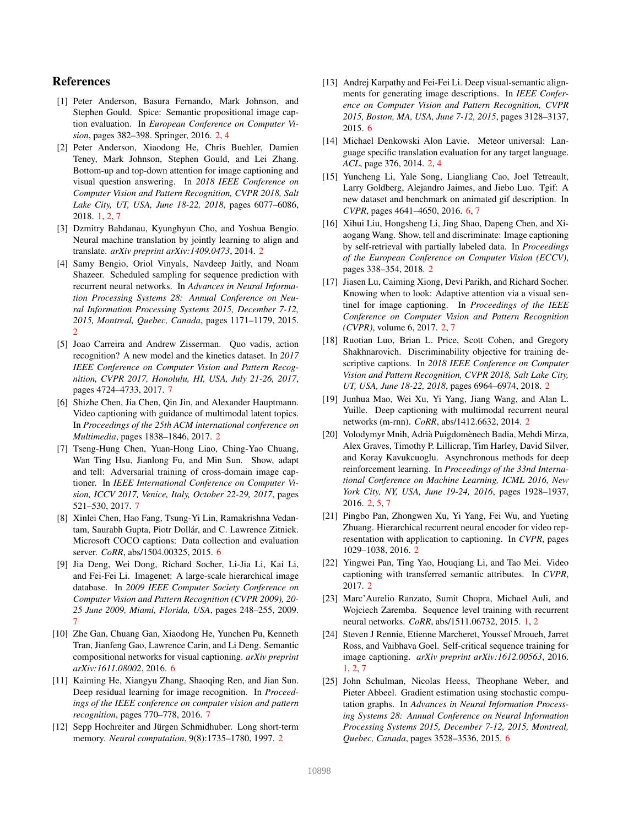# References

- [1] Peter Anderson, Basura Fernando, Mark Johnson, and Stephen Gould. Spice: Semantic propositional image caption evaluation. In *European Conference on Computer Vision*, pages 382–398. Springer, 2016. 2, 4
- [2] Peter Anderson, Xiaodong He, Chris Buehler, Damien Teney, Mark Johnson, Stephen Gould, and Lei Zhang. Bottom-up and top-down attention for image captioning and visual question answering. In *2018 IEEE Conference on Computer Vision and Pattern Recognition, CVPR 2018, Salt Lake City, UT, USA, June 18-22, 2018*, pages 6077–6086, 2018. 1, 2, 7
- [3] Dzmitry Bahdanau, Kyunghyun Cho, and Yoshua Bengio. Neural machine translation by jointly learning to align and translate. *arXiv preprint arXiv:1409.0473*, 2014. 2
- [4] Samy Bengio, Oriol Vinyals, Navdeep Jaitly, and Noam Shazeer. Scheduled sampling for sequence prediction with recurrent neural networks. In *Advances in Neural Information Processing Systems 28: Annual Conference on Neural Information Processing Systems 2015, December 7-12, 2015, Montreal, Quebec, Canada*, pages 1171–1179, 2015. 2
- [5] Joao Carreira and Andrew Zisserman. Quo vadis, action recognition? A new model and the kinetics dataset. In *2017 IEEE Conference on Computer Vision and Pattern Recognition, CVPR 2017, Honolulu, HI, USA, July 21-26, 2017*, pages 4724–4733, 2017. 7
- [6] Shizhe Chen, Jia Chen, Qin Jin, and Alexander Hauptmann. Video captioning with guidance of multimodal latent topics. In *Proceedings of the 25th ACM international conference on Multimedia*, pages 1838–1846, 2017. 2
- [7] Tseng-Hung Chen, Yuan-Hong Liao, Ching-Yao Chuang, Wan Ting Hsu, Jianlong Fu, and Min Sun. Show, adapt and tell: Adversarial training of cross-domain image captioner. In *IEEE International Conference on Computer Vision, ICCV 2017, Venice, Italy, October 22-29, 2017*, pages 521–530, 2017. 7
- [8] Xinlei Chen, Hao Fang, Tsung-Yi Lin, Ramakrishna Vedantam, Saurabh Gupta, Piotr Dollár, and C. Lawrence Zitnick. Microsoft COCO captions: Data collection and evaluation server. *CoRR*, abs/1504.00325, 2015. 6
- [9] Jia Deng, Wei Dong, Richard Socher, Li-Jia Li, Kai Li, and Fei-Fei Li. Imagenet: A large-scale hierarchical image database. In *2009 IEEE Computer Society Conference on Computer Vision and Pattern Recognition (CVPR 2009), 20- 25 June 2009, Miami, Florida, USA*, pages 248–255, 2009. 7
- [10] Zhe Gan, Chuang Gan, Xiaodong He, Yunchen Pu, Kenneth Tran, Jianfeng Gao, Lawrence Carin, and Li Deng. Semantic compositional networks for visual captioning. *arXiv preprint arXiv:1611.08002*, 2016. 6
- [11] Kaiming He, Xiangyu Zhang, Shaoqing Ren, and Jian Sun. Deep residual learning for image recognition. In *Proceedings of the IEEE conference on computer vision and pattern recognition*, pages 770–778, 2016. 7
- [12] Sepp Hochreiter and Jürgen Schmidhuber. Long short-term memory. *Neural computation*, 9(8):1735–1780, 1997. 2
- [13] Andrej Karpathy and Fei-Fei Li. Deep visual-semantic alignments for generating image descriptions. In *IEEE Conference on Computer Vision and Pattern Recognition, CVPR 2015, Boston, MA, USA, June 7-12, 2015*, pages 3128–3137, 2015. 6
- [14] Michael Denkowski Alon Lavie. Meteor universal: Language specific translation evaluation for any target language. *ACL*, page 376, 2014. 2, 4
- [15] Yuncheng Li, Yale Song, Liangliang Cao, Joel Tetreault, Larry Goldberg, Alejandro Jaimes, and Jiebo Luo. Tgif: A new dataset and benchmark on animated gif description. In *CVPR*, pages 4641–4650, 2016. 6, 7
- [16] Xihui Liu, Hongsheng Li, Jing Shao, Dapeng Chen, and Xiaogang Wang. Show, tell and discriminate: Image captioning by self-retrieval with partially labeled data. In *Proceedings of the European Conference on Computer Vision (ECCV)*, pages 338–354, 2018. 2
- [17] Jiasen Lu, Caiming Xiong, Devi Parikh, and Richard Socher. Knowing when to look: Adaptive attention via a visual sentinel for image captioning. In *Proceedings of the IEEE Conference on Computer Vision and Pattern Recognition (CVPR)*, volume 6, 2017. 2, 7
- [18] Ruotian Luo, Brian L. Price, Scott Cohen, and Gregory Shakhnarovich. Discriminability objective for training descriptive captions. In *2018 IEEE Conference on Computer Vision and Pattern Recognition, CVPR 2018, Salt Lake City, UT, USA, June 18-22, 2018*, pages 6964–6974, 2018. 2
- [19] Junhua Mao, Wei Xu, Yi Yang, Jiang Wang, and Alan L. Yuille. Deep captioning with multimodal recurrent neural networks (m-rnn). *CoRR*, abs/1412.6632, 2014. 2
- [20] Volodymyr Mnih, Adrià Puigdomènech Badia, Mehdi Mirza, Alex Graves, Timothy P. Lillicrap, Tim Harley, David Silver, and Koray Kavukcuoglu. Asynchronous methods for deep reinforcement learning. In *Proceedings of the 33nd International Conference on Machine Learning, ICML 2016, New York City, NY, USA, June 19-24, 2016*, pages 1928–1937, 2016. 2, 5, 7
- [21] Pingbo Pan, Zhongwen Xu, Yi Yang, Fei Wu, and Yueting Zhuang. Hierarchical recurrent neural encoder for video representation with application to captioning. In *CVPR*, pages 1029–1038, 2016. 2
- [22] Yingwei Pan, Ting Yao, Houqiang Li, and Tao Mei. Video captioning with transferred semantic attributes. In *CVPR*, 2017. 2
- [23] Marc'Aurelio Ranzato, Sumit Chopra, Michael Auli, and Wojciech Zaremba. Sequence level training with recurrent neural networks. *CoRR*, abs/1511.06732, 2015. 1, 2
- [24] Steven J Rennie, Etienne Marcheret, Youssef Mroueh, Jarret Ross, and Vaibhava Goel. Self-critical sequence training for image captioning. *arXiv preprint arXiv:1612.00563*, 2016. 1, 2, 7
- [25] John Schulman, Nicolas Heess, Theophane Weber, and Pieter Abbeel. Gradient estimation using stochastic computation graphs. In *Advances in Neural Information Processing Systems 28: Annual Conference on Neural Information Processing Systems 2015, December 7-12, 2015, Montreal, Quebec, Canada*, pages 3528–3536, 2015. 6